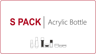# SPACK | Acrylic Bottle

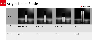#### **SPAČK** Acrylic Lotion Bottle



| Product  |                  |                 |                 |                |
|----------|------------------|-----------------|-----------------|----------------|
| Item No. | <b>WAP100T-1</b> | <b>WAP50T-1</b> | <b>WAP30T-1</b> | <b>WBP120Z</b> |
| Capacity | 100ml            | 50ml            | 30ml            | 120ml          |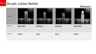### **SPAČK** Acrylic Lotion Bottle



| Product  |                |        |        | <b>The Community</b> |
|----------|----------------|--------|--------|----------------------|
| Item No. | <b>WBP100Z</b> | WBP50Z | WBP30Z | WAP100P              |
| Capacity | 100ml          | 50ml   | 30ml   | 100ml                |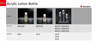#### **SPAČK** Acrylic Lotion Bottle



| Product  |        | <b>Contract Contract Contract</b> |                                                    |  |
|----------|--------|-----------------------------------|----------------------------------------------------|--|
| Item No. | WAP30P | WAP15P                            | BG55T-LP002A20<br>BG35T-LP002A20<br>BG25T-LP002A20 |  |
| Capacity | 30ml   | 15ml                              | 55ml<br>35ml<br>25ml                               |  |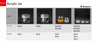



| Product  |       |       |                  |                            |
|----------|-------|-------|------------------|----------------------------|
| Item No. | JP50C | JP30C | WJP50T<br>WJP30T | WJP50Y<br>WJP30Y<br>WJP20Y |
| Capacity | 50ml  | 30ml  | 50ml<br>30ml     | 50ml<br>30ml<br>20ml       |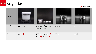



| Product  |                |                                                         |        |        |
|----------|----------------|---------------------------------------------------------|--------|--------|
| Item No. | <b>WJP200X</b> | WJP100X / WJP50X<br>WJP30X / WJP15X                     | WJP50Z | WJP30Z |
| Capacity | $200ml \star$  | 100ml* / 50ml*<br>30ml <sup>*</sup> / 15ml <sup>*</sup> | 50ml   | 30ml   |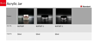



| Product  |        |                 |                 |  |
|----------|--------|-----------------|-----------------|--|
| Item No. | WJP50P | <b>WJP50T-1</b> | <b>WJP30T-1</b> |  |
| Capacity | 50ml   | 50ml            | 30ml            |  |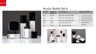

#### Acrylic Bottle Set A

| Capacity         | Suggested<br><b>Products</b> | <b>Closure Option</b>         | <b>Second Treatment</b>  |
|------------------|------------------------------|-------------------------------|--------------------------|
| 30 <sub>ml</sub> | Essence                      | Black Cap/ Pump/Shoulder      | <b>Frosted Treatment</b> |
| 50 <sub>ml</sub> | Lotion                       | Black Cap/ Pump/Shoulder      | <b>Lacquer Treatment</b> |
| 100ml            | Toner                        | Black Cap/ Pump/Shoulder      | Silk Screen Printing     |
| 30q              | Cream                        | <b>Black Cap/White Sifter</b> | <b>Hot Stamping</b>      |
| 50q              | Cream                        | <b>Black Cap/White Sifter</b> | Printing                 |



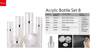

## Acrylic Bottle Set B

| Capacity         | <b>Suggested</b><br><b>Products</b> | <b>Closure Option</b>    | Second<br><b>Treatment</b>   |
|------------------|-------------------------------------|--------------------------|------------------------------|
| 30 <sub>ml</sub> | Essence                             | <b>Shiny Silver Pump</b> | Frosted<br>$\bullet$         |
| 50 <sub>ml</sub> | Lotion                              | <b>Shiny Silver Pump</b> | Treatment<br>Lacquer         |
| 100ml            | Lotion                              | <b>Shiny Silver Pump</b> | Treatment                    |
| 120ml            | Toner                               | Insert                   | Silk Screen<br>$\bullet$     |
| 30q              | Cream                               | <b>White Sifter</b>      | Printing<br>Hot<br>$\bullet$ |
| 50q              | Cream                               | <b>White Sifter</b>      | Stamping<br>Printing         |





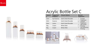



| Capacit<br>y     | Suggested<br><b>Products</b> | <b>Closure Option</b> | Second<br><b>Treatment</b>                   |
|------------------|------------------------------|-----------------------|----------------------------------------------|
| 15ml             | Eye Essence                  | Gold Collar/Shoulder  | Frosted<br>$\bullet$                         |
| 30 <sub>ml</sub> | Essence                      | Gold Collar/Shoulder  | Treatment<br>Lacquer<br>$\bullet$            |
| 50 <sub>ml</sub> | Lotion                       | Gold Collar/Shoulder  | Treatment<br>Silk Screen<br>$\bullet$        |
| 30q              | Cream                        | <b>White Sifter</b>   | Printing                                     |
| 50q              | Cream                        | <b>White Sifter</b>   | <b>Hot Stamping</b><br>$\bullet$<br>Printing |